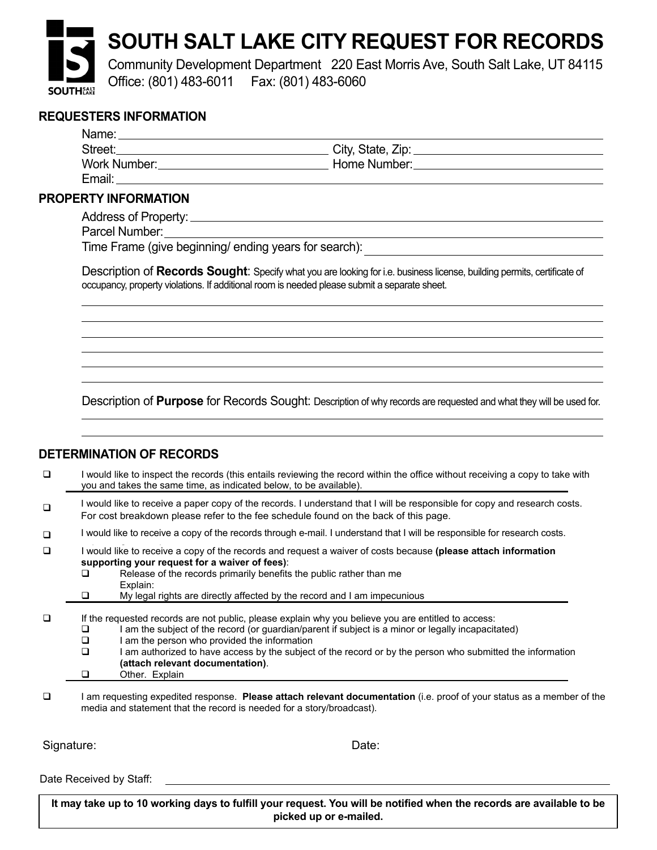# **SOUTH SALT LAKE CITY REQUEST FOR RECORDS**

Community Development Department 220 East Morris Ave, South Salt Lake, UT 84115 Office: (801) 483-6011 Fax: (801) 483-6060

### **REQUESTERS INFORMATION**

| <b>REQUESTERS INFORMATION</b>                                                                                                                                                                                                  |                                                                                                                                                                                                                                |  |
|--------------------------------------------------------------------------------------------------------------------------------------------------------------------------------------------------------------------------------|--------------------------------------------------------------------------------------------------------------------------------------------------------------------------------------------------------------------------------|--|
| Name: Name:                                                                                                                                                                                                                    |                                                                                                                                                                                                                                |  |
|                                                                                                                                                                                                                                |                                                                                                                                                                                                                                |  |
| Work Number: View Marian Maria Maria Maria Maria Maria Maria Maria Maria Maria Maria Maria Maria Maria Maria M                                                                                                                 | Home Number: National Assembly Property and Assembly Property and Assembly Property and Assembly Property and Assembly Property and Assembly Property and Assembly Property and Assembly Property and Assembly Property and As |  |
| Email: Email: Email: Email: Email: Email: Email: Email: Email: Email: Email: Email: Email: Email: Email: Email: Email: Email: Email: Email: Email: Email: Email: Email: Email: Email: Email: Email: Email: Email: Email: Email |                                                                                                                                                                                                                                |  |
| <b>PROPERTY INFORMATION</b>                                                                                                                                                                                                    |                                                                                                                                                                                                                                |  |
|                                                                                                                                                                                                                                |                                                                                                                                                                                                                                |  |

 Email:\_\_\_\_\_\_\_\_\_\_\_\_\_\_\_\_\_\_\_\_\_\_\_\_\_\_\_\_\_\_\_\_\_\_\_\_\_\_\_\_\_\_\_\_\_\_\_\_\_\_\_@\_\_\_\_\_\_\_\_\_\_\_\_\_\_\_\_\_\_\_\_\_\_\_\_\_\_\_\_\_\_ Parcel Number: Email:\_\_\_\_\_\_\_\_\_\_\_\_\_\_\_\_\_\_\_\_\_\_\_\_\_\_\_\_\_\_\_\_\_\_\_\_\_\_\_\_\_\_\_\_\_\_\_\_\_\_\_@\_\_\_\_\_\_\_\_\_\_\_\_\_\_\_\_\_\_\_\_\_\_\_\_\_\_\_\_\_\_ Street:\_\_\_\_\_\_\_\_\_\_\_\_\_\_\_\_\_\_\_\_\_\_\_\_\_\_\_\_\_\_\_\_\_\_\_\_\_\_\_\_\_\_ City, State, Zip:\_\_\_\_\_\_\_\_\_\_\_\_\_\_\_\_\_\_\_\_\_\_\_\_\_\_\_

**PROPERTY INFORMATION** 

Time Frame (give beginning/ ending years for search): Parties in the contract of the contract of the contract of the contract of the contract of the contract of the contract of the contract of the contract of the contract of the contract of the contract of the contract of the Fime Frame (give beginning/ ending years for search):

Docerintian of **Pocerds Sought**: Specific that you are looking for i.e. business license, building negmite, estigate of Description of Records Sought: Specify what you are looking for i.e. business license, building permits, certificate of occupancy, property violations. If additional room is needed please submit a separate sheet. Time frame (give beginning  $\mathcal{G}^*$  ):  $\mathcal{G}^*$  search):  $\mathcal{G}^*$  ,  $\mathcal{G}^*$  ,  $\mathcal{G}^*$  ,  $\mathcal{G}^*$  ,  $\mathcal{G}^*$  ,  $\mathcal{G}^*$  ,  $\mathcal{G}^*$  ,  $\mathcal{G}^*$  ,  $\mathcal{G}^*$  ,  $\mathcal{G}^*$  ,  $\mathcal{G}^*$  ,  $\mathcal{G}^*$  ,  $\mathcal$ 

Description of Purpose for Records Sought: Description of why records are requested and what they will be used for.  $\_$  . The contribution of the contribution of the contribution of the contribution of the contribution of the contribution of the contribution of the contribution of the contribution of the contribution of the contributio  $\overline{\phantom{a}}$  , and the set of the set of the set of the set of the set of the set of the set of the set of the set of the set of the set of the set of the set of the set of the set of the set of the set of the set of the s Description of **Purpose** for records Sought. Description of why records are requested and with they wi  $\overline{\phantom{a}}$  , and the contribution of the contribution of the contribution of the contribution of the contribution of the contribution of the contribution of the contribution of the contribution of the contribution of the

\_\_\_\_\_\_\_\_\_\_\_\_\_\_\_\_\_\_\_\_\_\_\_\_\_\_\_\_\_\_\_\_\_\_\_\_\_\_\_\_\_\_\_\_\_\_\_\_\_\_\_\_\_\_\_\_\_\_\_\_\_\_\_\_\_\_\_\_\_\_\_\_\_\_\_\_\_\_\_\_\_\_\_\_\_\_\_\_

 $\_$  . The contribution of the contribution of the contribution of the contribution of the contribution of the contribution of  $\mathcal{L}_\text{max}$ 

 $\overline{\phantom{a}}$  , and the contribution of the contribution of the contribution of the contribution of the contribution of the contribution of the contribution of the contribution of the contribution of the contribution of the  $\overline{\phantom{a}}$  , and the contribution of the contribution of the contribution of the contribution of the contribution of the contribution of the contribution of the contribution of the contribution of the contribution of the \_\_\_\_\_\_\_\_\_\_\_\_\_\_\_\_\_\_\_\_\_\_\_\_\_\_\_\_\_\_\_\_\_\_\_\_\_\_\_\_\_\_\_\_\_\_\_\_\_\_\_\_\_\_\_\_\_\_\_\_\_\_\_\_\_\_\_\_\_\_\_\_\_\_\_\_\_\_\_\_\_\_\_\_\_\_\_\_

 $\overline{\phantom{a}}$  , and the contribution of the contribution of the contribution of the contribution of the contribution of the contribution of the contribution of the contribution of the contribution of the contribution of the

Description of *records sought* (specify what your looking for i.e. application, inspections, finals, Certificate of

Time frame (give beginning  $\mathcal{G}^*$  search):  $\mathcal{G}^*$  search):  $\mathcal{G}^*$  search):  $\mathcal{G}^*$ 

Description of *records sought* (specify what your looking for i.e. application, inspections, finals, Certificate of

#### **DETERMINATION OF RECORDS DETERMINATION OF RECORD**

 $\mathcal{L}=\mathcal{L}$  , we can also the set of the set of the set of the set of the set of the set of the set of the set of the set of the set of the set of the set of the set of the set of the set of the set of the set of the s

 $\overline{\phantom{a}}$  , where  $\overline{\phantom{a}}$  , where  $\overline{\phantom{a}}$  , where  $\overline{\phantom{a}}$  , where  $\overline{\phantom{a}}$ 

Occupancy. Be as specify as possible):

<u>Occupancy. Be as specify as specify as specify as possible</u>

I would like to inspect the records (this entails reviewing the record within the office without receiving a copy to take with you and takes the same time, as indicated below, to be available). you and takes the same time, as indicated below, to be available).

Description of *purpose* for records sought (reason must be described with reasonable specificity):

- $\Box$  would like to receive a paper copy of the records. Tunderstand that I will be responsible for copy and research costs For cost breakdown please refer to the fee schedule found on the back of this page. In this to inspect the records (this entails records  $\alpha$  conditions  $\alpha$  conditions  $\alpha$  copy to take with  $\alpha$ I would like to receive a paper copy of the records. I understand that I will be responsible for copy and research costs.
- $\Box$  I would like to receive a copy of the records through e-mail. I understand that I will be responsible for research costs. depending on size) depending on size) □ I would like to receive a copy of the records through e-mail. I understand that I will be responsible for research costs.
- **supporting your request for a waiver of fees)**: I would like to receive a copy of the records and request a waiver of costs because (please attach information **Explorer interest for a waiver of fees):**<br>supporting your request for a waiver of fees):
	- $\Box$  Release of the records primarily benefits the public rather than me Explain:  $\Box$  records are records primarily benefits and public ratio and internet.
- □ My legal rights are directly affected by the record and I am impecunious
- $\Box$  If the requested records are not public, please explain why you believe you are entitled to access:
	- $\Box$  am the subject of the record (or guardian/parent if subject is a minor or legally incapacitated)
		- **The interval relevant documentation**<br> **I** am the person who provided the information
- I am authorized to have access by the subject of the record or by the person who submitted the information **at the information**  I am requesting expedited response. **Please attach relevant documentation** (i.e. proof of your status as a member of the **EXECUTE:** TEMP **CONDITION** CONTROLLED TEMPERATURE (attach relevant documentation). **Q** Other. Explain
- I am requesting expedited response. Please attach relevant documentation (i.e. proof of your status as a member of the media and statement that the record is needed for a story/broadcast). I am requesting expedited response. **Please attach relevant documentation** (i.e. proof of your status as a member of the

Signature: Date: Date: Date: Date: Date: Date: Date: Date: Date: Date: Date: Date: Date: Date: Date: Date: Date: Date: Date: Date:  $\Box$ 

Requested records are generally available within 3-4 working days  $R_{\rm eff}$ Date Received by Staff:

It may take up to 10 working days to fulfill your request. You will be notified when the records are available to be picked up or e-mailed.

but may take up to 10 working days.

but may take up to 10 working days.